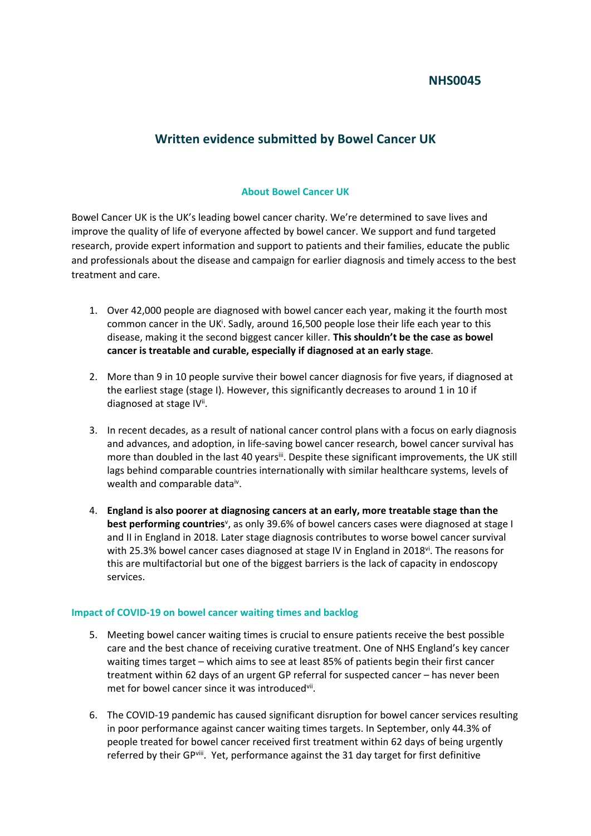## **NHS0045**

# **Written evidence submitted by Bowel Cancer UK**

### **About Bowel Cancer UK**

Bowel Cancer UK is the UK's leading bowel cancer charity. We're determined to save lives and improve the quality of life of everyone affected by bowel cancer. We support and fund targeted research, provide expert information and support to patients and their families, educate the public and professionals about the disease and campaign for earlier diagnosis and timely access to the best treatment and care.

- 1. Over 42,000 people are diagnosed with bowel cancer each year, making it the fourth most common cancer in the UK<sup>i</sup>. Sadly, around 16,500 people lose their life each year to this disease, making it the second biggest cancer killer. **This shouldn't be the case as bowel cancer is treatable and curable, especially if diagnosed at an early stage**.
- 2. More than 9 in 10 people survive their bowel cancer diagnosis for five years, if diagnosed at the earliest stage (stage I). However, this significantly decreases to around 1 in 10 if diagnosed at stage IV<sup>ii</sup>.
- 3. In recent decades, as a result of national cancer control plans with a focus on early diagnosis and advances, and adoption, in life-saving bowel cancer research, bowel cancer survival has more than doubled in the last 40 yearsii. Despite these significant improvements, the UK still lags behind comparable countries internationally with similar healthcare systems, levels of wealth and comparable dataiv.
- 4. **England is also poorer at diagnosing cancers at an early, more treatable stage than the** best performing countries<sup>v</sup>, as only 39.6% of bowel cancers cases were diagnosed at stage I and II in England in 2018. Later stage diagnosis contributes to worse bowel cancer survival with 25.3% bowel cancer cases diagnosed at stage IV in England in 2018v<sup>i</sup>. The reasons for this are multifactorial but one of the biggest barriers is the lack of capacity in endoscopy services.

#### **Impact of COVID-19 on bowel cancer waiting times and backlog**

- 5. Meeting bowel cancer waiting times is crucial to ensure patients receive the best possible care and the best chance of receiving curative treatment. One of NHS England's key cancer waiting times target – which aims to see at least 85% of patients begin their first cancer treatment within 62 days of an urgent GP referral for suspected cancer – has never been met for bowel cancer since it was introducedvii.
- 6. The COVID-19 pandemic has caused significant disruption for bowel cancer services resulting in poor performance against cancer waiting times targets. In September, only 44.3% of people treated for bowel cancer received first treatment within 62 days of being urgently referred by their GPviii. Yet, performance against the 31 day target for first definitive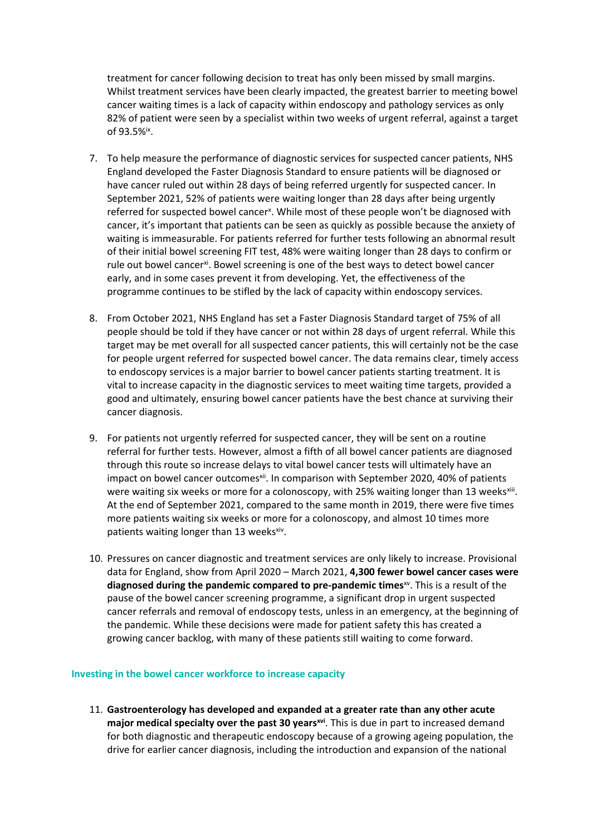treatment for cancer following decision to treat has only been missed by small margins. Whilst treatment services have been clearly impacted, the greatest barrier to meeting bowel cancer waiting times is a lack of capacity within endoscopy and pathology services as only 82% of patient were seen by a specialist within two weeks of urgent referral, against a target of 93.5%ix .

- 7. To help measure the performance of diagnostic services for suspected cancer patients, NHS England developed the Faster Diagnosis Standard to ensure patients will be diagnosed or have cancer ruled out within 28 days of being referred urgently for suspected cancer. In September 2021, 52% of patients were waiting longer than 28 days after being urgently referred for suspected bowel cancer<sup>x</sup>. While most of these people won't be diagnosed with cancer, it's important that patients can be seen as quickly as possible because the anxiety of waiting is immeasurable. For patients referred for further tests following an abnormal result of their initial bowel screening FIT test, 48% were waiting longer than 28 days to confirm or rule out bowel cancer<sup>xi</sup>. Bowel screening is one of the best ways to detect bowel cancer early, and in some cases prevent it from developing. Yet, the effectiveness of the programme continues to be stifled by the lack of capacity within endoscopy services.
- 8. From October 2021, NHS England has set a Faster Diagnosis Standard target of 75% of all people should be told if they have cancer or not within 28 days of urgent referral. While this target may be met overall for all suspected cancer patients, this will certainly not be the case for people urgent referred for suspected bowel cancer. The data remains clear, timely access to endoscopy services is a major barrier to bowel cancer patients starting treatment. It is vital to increase capacity in the diagnostic services to meet waiting time targets, provided a good and ultimately, ensuring bowel cancer patients have the best chance at surviving their cancer diagnosis.
- 9. For patients not urgently referred for suspected cancer, they will be sent on a routine referral for further tests. However, almost a fifth of all bowel cancer patients are diagnosed through this route so increase delays to vital bowel cancer tests will ultimately have an impact on bowel cancer outcomes<sup>xii</sup>. In comparison with September 2020, 40% of patients were waiting six weeks or more for a colonoscopy, with 25% waiting longer than 13 weeks<sup>xiii</sup>. At the end of September 2021, compared to the same month in 2019, there were five times more patients waiting six weeks or more for a colonoscopy, and almost 10 times more patients waiting longer than 13 weeksxiv.
- 10. Pressures on cancer diagnostic and treatment services are only likely to increase. Provisional data for England, show from April 2020 – March 2021, **4,300 fewer bowel cancer cases were diagnosed during the pandemic compared to pre-pandemic times**xv . This is a result of the pause of the bowel cancer screening programme, a significant drop in urgent suspected cancer referrals and removal of endoscopy tests, unless in an emergency, at the beginning of the pandemic. While these decisions were made for patient safety this has created a growing cancer backlog, with many of these patients still waiting to come forward.

#### **Investing in the bowel cancer workforce to increase capacity**

11. **Gastroenterology has developed and expanded at a greater rate than any other acute major medical specialty over the past 30 yearsxvi** . This is due in part to increased demand for both diagnostic and therapeutic endoscopy because of a growing ageing population, the drive for earlier cancer diagnosis, including the introduction and expansion of the national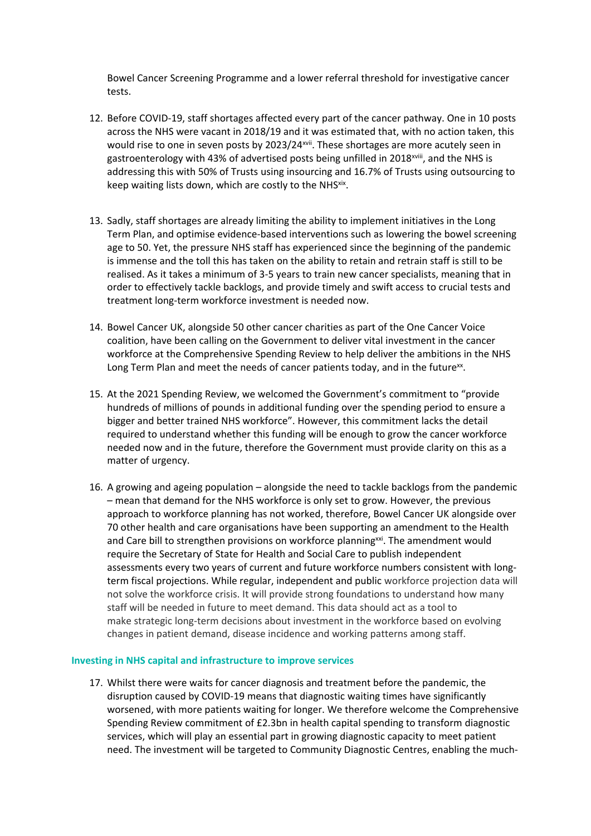Bowel Cancer Screening Programme and a lower referral threshold for investigative cancer tests.

- 12. Before COVID-19, staff shortages affected every part of the cancer pathway. One in 10 posts across the NHS were vacant in 2018/19 and it was estimated that, with no action taken, this would rise to one in seven posts by 2023/24xvii. These shortages are more acutely seen in gastroenterology with 43% of advertised posts being unfilled in 2018<sup>xviii</sup>, and the NHS is addressing this with 50% of Trusts using insourcing and 16.7% of Trusts using outsourcing to keep waiting lists down, which are costly to the NHS<sup>xix</sup>.
- 13. Sadly, staff shortages are already limiting the ability to implement initiatives in the Long Term Plan, and optimise evidence-based interventions such as lowering the bowel screening age to 50. Yet, the pressure NHS staff has experienced since the beginning of the pandemic is immense and the toll this has taken on the ability to retain and retrain staff is still to be realised. As it takes a minimum of 3-5 years to train new cancer specialists, meaning that in order to effectively tackle backlogs, and provide timely and swift access to crucial tests and treatment long-term workforce investment is needed now.
- 14. Bowel Cancer UK, alongside 50 other cancer charities as part of the One Cancer Voice coalition, have been calling on the Government to deliver vital investment in the cancer workforce at the Comprehensive Spending Review to help deliver the ambitions in the NHS Long Term Plan and meet the needs of cancer patients today, and in the future<sup>xx</sup>.
- 15. At the 2021 Spending Review, we welcomed the Government's commitment to "provide hundreds of millions of pounds in additional funding over the spending period to ensure a bigger and better trained NHS workforce". However, this commitment lacks the detail required to understand whether this funding will be enough to grow the cancer workforce needed now and in the future, therefore the Government must provide clarity on this as a matter of urgency.
- 16. A growing and ageing population alongside the need to tackle backlogs from the pandemic – mean that demand for the NHS workforce is only set to grow. However, the previous approach to workforce planning has not worked, therefore, Bowel Cancer UK alongside over 70 other health and care organisations have been supporting an amendment to the Health and Care bill to strengthen provisions on workforce planning<sup>xxi</sup>. The amendment would require the Secretary of State for Health and Social Care to publish independent assessments every two years of current and future workforce numbers consistent with longterm fiscal projections. While regular, independent and public workforce projection data will not solve the workforce crisis. It will provide strong foundations to understand how many staff will be needed in future to meet demand. This data should act as a tool to make strategic long-term decisions about investment in the workforce based on evolving changes in patient demand, disease incidence and working patterns among staff.

#### **Investing in NHS capital and infrastructure to improve services**

17. Whilst there were waits for cancer diagnosis and treatment before the pandemic, the disruption caused by COVID-19 means that diagnostic waiting times have significantly worsened, with more patients waiting for longer. We therefore welcome the Comprehensive Spending Review commitment of £2.3bn in health capital spending to transform diagnostic services, which will play an essential part in growing diagnostic capacity to meet patient need. The investment will be targeted to Community Diagnostic Centres, enabling the much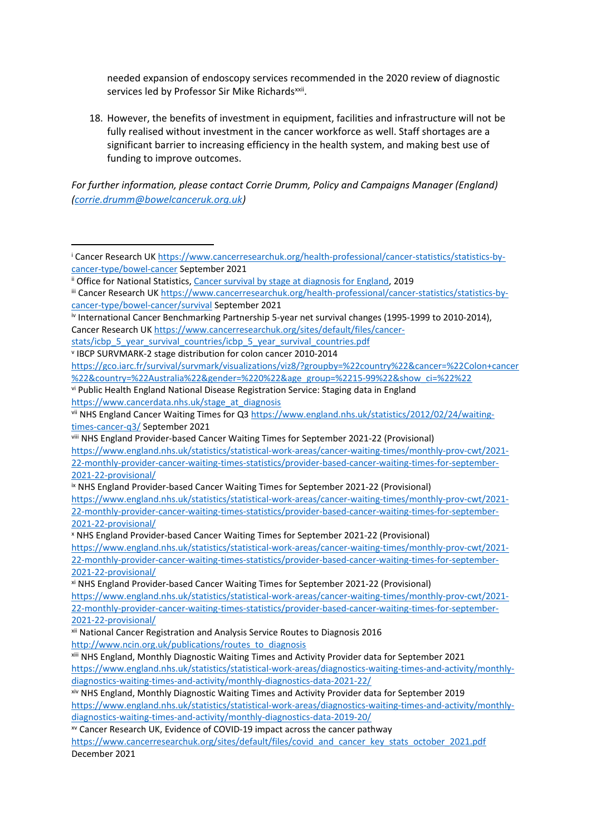needed expansion of endoscopy services recommended in the 2020 review of diagnostic services led by Professor Sir Mike Richards<sup>xxii</sup>.

18. However, the benefits of investment in equipment, facilities and infrastructure will not be fully realised without investment in the cancer workforce as well. Staff shortages are a significant barrier to increasing efficiency in the health system, and making best use of funding to improve outcomes.

*For further information, please contact Corrie Drumm, Policy and Campaigns Manager (England) [\(corrie.drumm@bowelcanceruk.org.uk](mailto:corrie.drumm@bowelcanceruk.org.uk))*

iv International Cancer Benchmarking Partnership 5-year net survival changes (1995-1999 to 2010-2014), Cancer Research UK [https://www.cancerresearchuk.org/sites/default/files/cancer-](https://www.cancerresearchuk.org/sites/default/files/cancer-stats/icbp_5_year_survival_countries/icbp_5_year_survival_countries.pdf)

[stats/icbp\\_5\\_year\\_survival\\_countries/icbp\\_5\\_year\\_survival\\_countries.pdf](https://www.cancerresearchuk.org/sites/default/files/cancer-stats/icbp_5_year_survival_countries/icbp_5_year_survival_countries.pdf)

v IBCP SURVMARK-2 stage distribution for colon cancer 2010-2014

[https://gco.iarc.fr/survival/survmark/visualizations/viz8/?groupby=%22country%22&cancer=%22Colon+cancer](https://gco.iarc.fr/survival/survmark/visualizations/viz8/?groupby=%22country%22&cancer=%22Colon+cancer%22&country=%22Australia%22&gender=%220%22&age_group=%2215-99%22&show_ci=%22%22) [%22&country=%22Australia%22&gender=%220%22&age\\_group=%2215-99%22&show\\_ci=%22%22](https://gco.iarc.fr/survival/survmark/visualizations/viz8/?groupby=%22country%22&cancer=%22Colon+cancer%22&country=%22Australia%22&gender=%220%22&age_group=%2215-99%22&show_ci=%22%22) 

vi Public Health England National Disease Registration Service: Staging data in England [https://www.cancerdata.nhs.uk/stage\\_at\\_diagnosis](https://www.cancerdata.nhs.uk/stage_at_diagnosis)

vii NHS England Cancer Waiting Times for Q3 [https://www.england.nhs.uk/statistics/2012/02/24/waiting](https://www.england.nhs.uk/statistics/2012/02/24/waiting-times-cancer-q3/)[times-cancer-q3/](https://www.england.nhs.uk/statistics/2012/02/24/waiting-times-cancer-q3/) September 2021

viii NHS England Provider-based Cancer Waiting Times for September 2021-22 (Provisional) [https://www.england.nhs.uk/statistics/statistical-work-areas/cancer-waiting-times/monthly-prov-cwt/2021-](https://www.england.nhs.uk/statistics/statistical-work-areas/cancer-waiting-times/monthly-prov-cwt/2021-22-monthly-provider-cancer-waiting-times-statistics/provider-based-cancer-waiting-times-for-september-2021-22-provisional/) [22-monthly-provider-cancer-waiting-times-statistics/provider-based-cancer-waiting-times-for-september-](https://www.england.nhs.uk/statistics/statistical-work-areas/cancer-waiting-times/monthly-prov-cwt/2021-22-monthly-provider-cancer-waiting-times-statistics/provider-based-cancer-waiting-times-for-september-2021-22-provisional/)[2021-22-provisional/](https://www.england.nhs.uk/statistics/statistical-work-areas/cancer-waiting-times/monthly-prov-cwt/2021-22-monthly-provider-cancer-waiting-times-statistics/provider-based-cancer-waiting-times-for-september-2021-22-provisional/)

ix NHS England Provider-based Cancer Waiting Times for September 2021-22 (Provisional) [https://www.england.nhs.uk/statistics/statistical-work-areas/cancer-waiting-times/monthly-prov-cwt/2021-](https://www.england.nhs.uk/statistics/statistical-work-areas/cancer-waiting-times/monthly-prov-cwt/2021-22-monthly-provider-cancer-waiting-times-statistics/provider-based-cancer-waiting-times-for-september-2021-22-provisional/) [22-monthly-provider-cancer-waiting-times-statistics/provider-based-cancer-waiting-times-for-september-](https://www.england.nhs.uk/statistics/statistical-work-areas/cancer-waiting-times/monthly-prov-cwt/2021-22-monthly-provider-cancer-waiting-times-statistics/provider-based-cancer-waiting-times-for-september-2021-22-provisional/)[2021-22-provisional/](https://www.england.nhs.uk/statistics/statistical-work-areas/cancer-waiting-times/monthly-prov-cwt/2021-22-monthly-provider-cancer-waiting-times-statistics/provider-based-cancer-waiting-times-for-september-2021-22-provisional/)

<sup>x</sup> NHS England Provider-based Cancer Waiting Times for September 2021-22 (Provisional) [https://www.england.nhs.uk/statistics/statistical-work-areas/cancer-waiting-times/monthly-prov-cwt/2021-](https://www.england.nhs.uk/statistics/statistical-work-areas/cancer-waiting-times/monthly-prov-cwt/2021-22-monthly-provider-cancer-waiting-times-statistics/provider-based-cancer-waiting-times-for-september-2021-22-provisional/) [22-monthly-provider-cancer-waiting-times-statistics/provider-based-cancer-waiting-times-for-september-](https://www.england.nhs.uk/statistics/statistical-work-areas/cancer-waiting-times/monthly-prov-cwt/2021-22-monthly-provider-cancer-waiting-times-statistics/provider-based-cancer-waiting-times-for-september-2021-22-provisional/)[2021-22-provisional/](https://www.england.nhs.uk/statistics/statistical-work-areas/cancer-waiting-times/monthly-prov-cwt/2021-22-monthly-provider-cancer-waiting-times-statistics/provider-based-cancer-waiting-times-for-september-2021-22-provisional/)

xi NHS England Provider-based Cancer Waiting Times for September 2021-22 (Provisional) [https://www.england.nhs.uk/statistics/statistical-work-areas/cancer-waiting-times/monthly-prov-cwt/2021-](https://www.england.nhs.uk/statistics/statistical-work-areas/cancer-waiting-times/monthly-prov-cwt/2021-22-monthly-provider-cancer-waiting-times-statistics/provider-based-cancer-waiting-times-for-september-2021-22-provisional/) [22-monthly-provider-cancer-waiting-times-statistics/provider-based-cancer-waiting-times-for-september-](https://www.england.nhs.uk/statistics/statistical-work-areas/cancer-waiting-times/monthly-prov-cwt/2021-22-monthly-provider-cancer-waiting-times-statistics/provider-based-cancer-waiting-times-for-september-2021-22-provisional/)[2021-22-provisional/](https://www.england.nhs.uk/statistics/statistical-work-areas/cancer-waiting-times/monthly-prov-cwt/2021-22-monthly-provider-cancer-waiting-times-statistics/provider-based-cancer-waiting-times-for-september-2021-22-provisional/)

xii National Cancer Registration and Analysis Service Routes to Diagnosis 2016

[http://www.ncin.org.uk/publications/routes\\_to\\_diagnosis](http://www.ncin.org.uk/publications/routes_to_diagnosis)

[diagnostics-waiting-times-and-activity/monthly-diagnostics-data-2019-20/](https://www.england.nhs.uk/statistics/statistical-work-areas/diagnostics-waiting-times-and-activity/monthly-diagnostics-waiting-times-and-activity/monthly-diagnostics-data-2019-20/)

xv Cancer Research UK, Evidence of COVID-19 impact across the cancer pathway

<sup>i</sup> Cancer Research UK [https://www.cancerresearchuk.org/health-professional/cancer-statistics/statistics-by](https://www.cancerresearchuk.org/health-professional/cancer-statistics/statistics-by-cancer-type/bowel-cancer)[cancer-type/bowel-cancer](https://www.cancerresearchuk.org/health-professional/cancer-statistics/statistics-by-cancer-type/bowel-cancer) September 2021

ii Office for National Statistics, [Cancer](https://www.ons.gov.uk/peoplepopulationandcommunity/healthandsocialcare/conditionsanddiseases/bulletins/cancersurvivalbystageatdiagnosisforenglandexperimentalstatistics/adultsdiagnosed20122013and2014andfollowedupto2015) [survival](https://www.ons.gov.uk/peoplepopulationandcommunity/healthandsocialcare/conditionsanddiseases/bulletins/cancersurvivalbystageatdiagnosisforenglandexperimentalstatistics/adultsdiagnosed20122013and2014andfollowedupto2015) [by](https://www.ons.gov.uk/peoplepopulationandcommunity/healthandsocialcare/conditionsanddiseases/bulletins/cancersurvivalbystageatdiagnosisforenglandexperimentalstatistics/adultsdiagnosed20122013and2014andfollowedupto2015) [stage](https://www.ons.gov.uk/peoplepopulationandcommunity/healthandsocialcare/conditionsanddiseases/bulletins/cancersurvivalbystageatdiagnosisforenglandexperimentalstatistics/adultsdiagnosed20122013and2014andfollowedupto2015) [at](https://www.ons.gov.uk/peoplepopulationandcommunity/healthandsocialcare/conditionsanddiseases/bulletins/cancersurvivalbystageatdiagnosisforenglandexperimentalstatistics/adultsdiagnosed20122013and2014andfollowedupto2015) [diagnosis](https://www.ons.gov.uk/peoplepopulationandcommunity/healthandsocialcare/conditionsanddiseases/bulletins/cancersurvivalbystageatdiagnosisforenglandexperimentalstatistics/adultsdiagnosed20122013and2014andfollowedupto2015) [for](https://www.ons.gov.uk/peoplepopulationandcommunity/healthandsocialcare/conditionsanddiseases/bulletins/cancersurvivalbystageatdiagnosisforenglandexperimentalstatistics/adultsdiagnosed20122013and2014andfollowedupto2015) [England,](https://www.ons.gov.uk/peoplepopulationandcommunity/healthandsocialcare/conditionsanddiseases/bulletins/cancersurvivalbystageatdiagnosisforenglandexperimentalstatistics/adultsdiagnosed20122013and2014andfollowedupto2015) 2019

iii Cancer Research UK [https://www.cancerresearchuk.org/health-professional/cancer-statistics/statistics-by](https://www.cancerresearchuk.org/health-professional/cancer-statistics/statistics-by-cancer-type/bowel-cancer/survival)[cancer-type/bowel-cancer/survival](https://www.cancerresearchuk.org/health-professional/cancer-statistics/statistics-by-cancer-type/bowel-cancer/survival) September 2021

xiii NHS England, Monthly Diagnostic Waiting Times and Activity Provider data for September 2021 [https://www.england.nhs.uk/statistics/statistical-work-areas/diagnostics-waiting-times-and-activity/monthly](https://www.england.nhs.uk/statistics/statistical-work-areas/diagnostics-waiting-times-and-activity/monthly-diagnostics-waiting-times-and-activity/monthly-diagnostics-data-2021-22/)[diagnostics-waiting-times-and-activity/monthly-diagnostics-data-2021-22/](https://www.england.nhs.uk/statistics/statistical-work-areas/diagnostics-waiting-times-and-activity/monthly-diagnostics-waiting-times-and-activity/monthly-diagnostics-data-2021-22/)

xiv NHS England, Monthly Diagnostic Waiting Times and Activity Provider data for September 2019 [https://www.england.nhs.uk/statistics/statistical-work-areas/diagnostics-waiting-times-and-activity/monthly-](https://www.england.nhs.uk/statistics/statistical-work-areas/diagnostics-waiting-times-and-activity/monthly-diagnostics-waiting-times-and-activity/monthly-diagnostics-data-2019-20/)

[https://www.cancerresearchuk.org/sites/default/files/covid\\_and\\_cancer\\_key\\_stats\\_october\\_2021.pdf](https://www.cancerresearchuk.org/sites/default/files/covid_and_cancer_key_stats_october_2021.pdf) December 2021